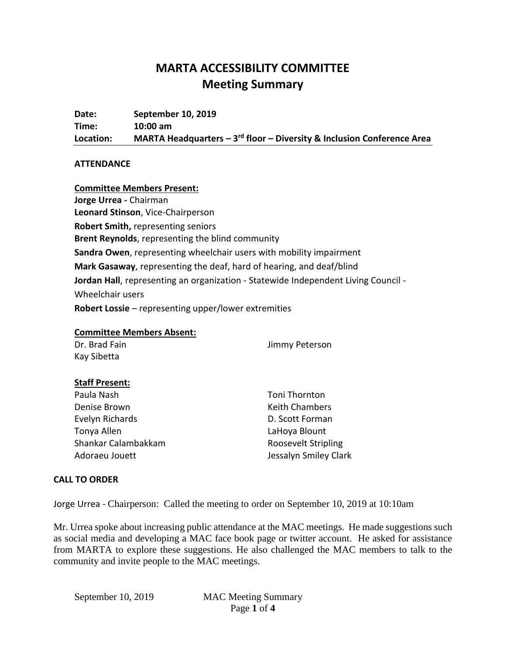# **MARTA ACCESSIBILITY COMMITTEE Meeting Summary**

**Date: September 10, 2019 Time: 10:00 am Location: MARTA Headquarters – 3 rd floor – Diversity & Inclusion Conference Area**

#### **ATTENDANCE**

## **Committee Members Present: Jorge Urrea -** Chairman **Leonard Stinson**, Vice-Chairperson **Robert Smith,** representing seniors **Brent Reynolds**, representing the blind community **Sandra Owen**, representing wheelchair users with mobility impairment **Mark Gasaway**, representing the deaf, hard of hearing, and deaf/blind **Jordan Hall**, representing an organization - Statewide Independent Living Council - Wheelchair users **Robert Lossie** – representing upper/lower extremities

## **Committee Members Absent:**

| Dr. Brad Fain | Jimmy Peterson |
|---------------|----------------|
| Kay Sibetta   |                |

#### **Staff Present:**

Paula Nash Denise Brown Evelyn Richards Tonya Allen Shankar Calambakkam Adoraeu Jouett

Toni Thornton Keith Chambers D. Scott Forman LaHoya Blount Roosevelt Stripling Jessalyn Smiley Clark

#### **CALL TO ORDER**

Jorge Urrea - Chairperson: Called the meeting to order on September 10, 2019 at 10:10am

Mr. Urrea spoke about increasing public attendance at the MAC meetings. He made suggestions such as social media and developing a MAC face book page or twitter account. He asked for assistance from MARTA to explore these suggestions. He also challenged the MAC members to talk to the community and invite people to the MAC meetings.

September 10, 2019 MAC Meeting Summary Page **1** of **4**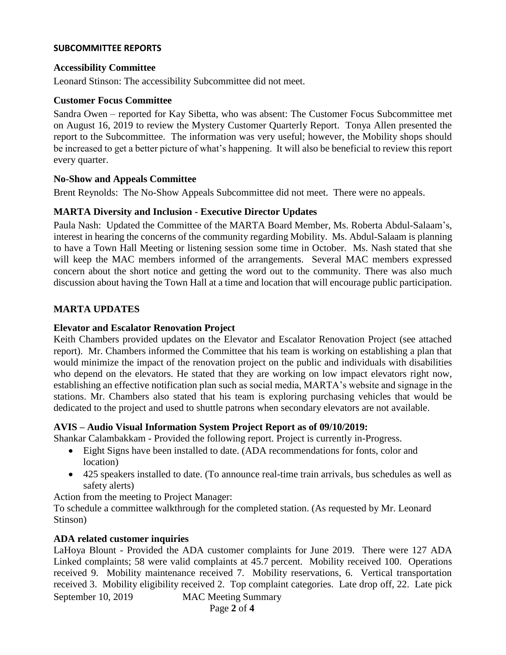#### **SUBCOMMITTEE REPORTS**

#### **Accessibility Committee**

Leonard Stinson: The accessibility Subcommittee did not meet.

#### **Customer Focus Committee**

Sandra Owen – reported for Kay Sibetta, who was absent: The Customer Focus Subcommittee met on August 16, 2019 to review the Mystery Customer Quarterly Report. Tonya Allen presented the report to the Subcommittee. The information was very useful; however, the Mobility shops should be increased to get a better picture of what's happening. It will also be beneficial to review this report every quarter.

#### **No-Show and Appeals Committee**

Brent Reynolds: The No-Show Appeals Subcommittee did not meet. There were no appeals.

#### **MARTA Diversity and Inclusion - Executive Director Updates**

Paula Nash: Updated the Committee of the MARTA Board Member, Ms. Roberta Abdul-Salaam's, interest in hearing the concerns of the community regarding Mobility. Ms. Abdul-Salaam is planning to have a Town Hall Meeting or listening session some time in October. Ms. Nash stated that she will keep the MAC members informed of the arrangements. Several MAC members expressed concern about the short notice and getting the word out to the community. There was also much discussion about having the Town Hall at a time and location that will encourage public participation.

#### **MARTA UPDATES**

#### **Elevator and Escalator Renovation Project**

Keith Chambers provided updates on the Elevator and Escalator Renovation Project (see attached report). Mr. Chambers informed the Committee that his team is working on establishing a plan that would minimize the impact of the renovation project on the public and individuals with disabilities who depend on the elevators. He stated that they are working on low impact elevators right now, establishing an effective notification plan such as social media, MARTA's website and signage in the stations. Mr. Chambers also stated that his team is exploring purchasing vehicles that would be dedicated to the project and used to shuttle patrons when secondary elevators are not available.

#### **AVIS – Audio Visual Information System Project Report as of 09/10/2019:**

Shankar Calambakkam - Provided the following report. Project is currently in-Progress.

- Eight Signs have been installed to date. (ADA recommendations for fonts, color and location)
- 425 speakers installed to date. (To announce real-time train arrivals, bus schedules as well as safety alerts)

Action from the meeting to Project Manager:

To schedule a committee walkthrough for the completed station. (As requested by Mr. Leonard Stinson)

#### **ADA related customer inquiries**

September 10, 2019 MAC Meeting Summary LaHoya Blount - Provided the ADA customer complaints for June 2019. There were 127 ADA Linked complaints; 58 were valid complaints at 45.7 percent. Mobility received 100. Operations received 9. Mobility maintenance received 7. Mobility reservations, 6. Vertical transportation received 3. Mobility eligibility received 2. Top complaint categories. Late drop off, 22. Late pick

Page **2** of **4**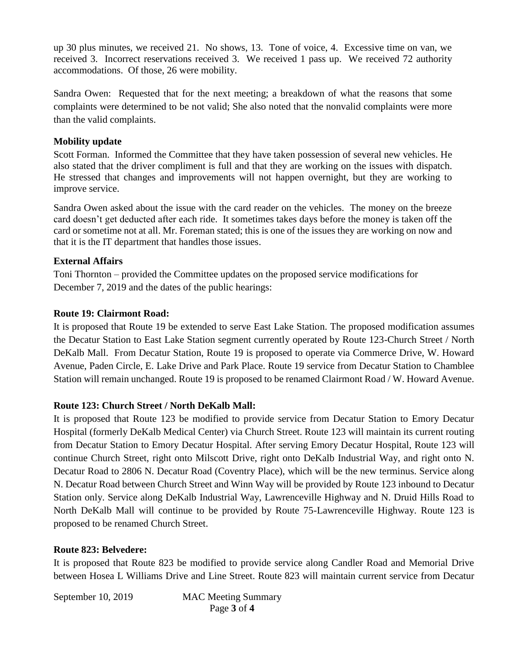up 30 plus minutes, we received 21. No shows, 13. Tone of voice, 4. Excessive time on van, we received 3. Incorrect reservations received 3. We received 1 pass up. We received 72 authority accommodations. Of those, 26 were mobility.

Sandra Owen: Requested that for the next meeting; a breakdown of what the reasons that some complaints were determined to be not valid; She also noted that the nonvalid complaints were more than the valid complaints.

## **Mobility update**

Scott Forman. Informed the Committee that they have taken possession of several new vehicles. He also stated that the driver compliment is full and that they are working on the issues with dispatch. He stressed that changes and improvements will not happen overnight, but they are working to improve service.

Sandra Owen asked about the issue with the card reader on the vehicles. The money on the breeze card doesn't get deducted after each ride. It sometimes takes days before the money is taken off the card or sometime not at all. Mr. Foreman stated; this is one of the issues they are working on now and that it is the IT department that handles those issues.

## **External Affairs**

Toni Thornton – provided the Committee updates on the proposed service modifications for December 7, 2019 and the dates of the public hearings:

## **Route 19: Clairmont Road:**

It is proposed that Route 19 be extended to serve East Lake Station. The proposed modification assumes the Decatur Station to East Lake Station segment currently operated by Route 123-Church Street / North DeKalb Mall. From Decatur Station, Route 19 is proposed to operate via Commerce Drive, W. Howard Avenue, Paden Circle, E. Lake Drive and Park Place. Route 19 service from Decatur Station to Chamblee Station will remain unchanged. Route 19 is proposed to be renamed Clairmont Road / W. Howard Avenue.

### **Route 123: Church Street / North DeKalb Mall:**

It is proposed that Route 123 be modified to provide service from Decatur Station to Emory Decatur Hospital (formerly DeKalb Medical Center) via Church Street. Route 123 will maintain its current routing from Decatur Station to Emory Decatur Hospital. After serving Emory Decatur Hospital, Route 123 will continue Church Street, right onto Milscott Drive, right onto DeKalb Industrial Way, and right onto N. Decatur Road to 2806 N. Decatur Road (Coventry Place), which will be the new terminus. Service along N. Decatur Road between Church Street and Winn Way will be provided by Route 123 inbound to Decatur Station only. Service along DeKalb Industrial Way, Lawrenceville Highway and N. Druid Hills Road to North DeKalb Mall will continue to be provided by Route 75-Lawrenceville Highway. Route 123 is proposed to be renamed Church Street.

### **Route 823: Belvedere:**

It is proposed that Route 823 be modified to provide service along Candler Road and Memorial Drive between Hosea L Williams Drive and Line Street. Route 823 will maintain current service from Decatur

September 10, 2019 MAC Meeting Summary Page **3** of **4**